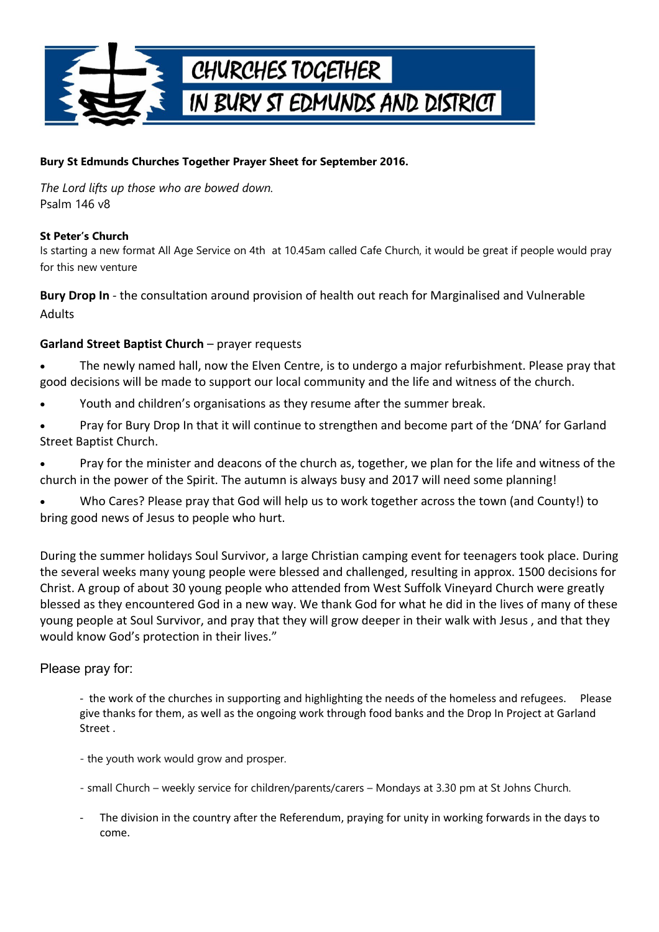

## **Bury St Edmunds Churches Together Prayer Sheet for September 2016.**

*The Lord lifts up those who are bowed down.* Psalm 146 v8

### **St Peter's Church**

Is starting a new format All Age Service on 4th at 10.45am called Cafe Church, it would be great if people would pray for this new venture

**Bury Drop In** - the consultation around provision of health out reach for Marginalised and Vulnerable Adults

### **Garland Street Baptist Church** – prayer requests

 The newly named hall, now the Elven Centre, is to undergo a major refurbishment. Please pray that good decisions will be made to support our local community and the life and witness of the church.

- Youth and children's organisations as they resume after the summer break.
- Pray for Bury Drop In that it will continue to strengthen and become part of the 'DNA' for Garland Street Baptist Church.

 Pray for the minister and deacons of the church as, together, we plan for the life and witness of the church in the power of the Spirit. The autumn is always busy and 2017 will need some planning!

 Who Cares? Please pray that God will help us to work together across the town (and County!) to bring good news of Jesus to people who hurt.

During the summer holidays Soul Survivor, a large Christian camping event for teenagers took place. During the several weeks many young people were blessed and challenged, resulting in approx. 1500 decisions for Christ. A group of about 30 young people who attended from West Suffolk Vineyard Church were greatly blessed as they encountered God in a new way. We thank God for what he did in the lives of many of these young people at Soul Survivor, and pray that they will grow deeper in their walk with Jesus , and that they would know God's protection in their lives."

# Please pray for:

- the work of the churches in supporting and highlighting the needs of the homeless and refugees. Please give thanks for them, as well as the ongoing work through food banks and the Drop In Project at Garland Street .

- the youth work would grow and prosper.

- small Church – weekly service for children/parents/carers – Mondays at 3.30 pm at St Johns Church.

The division in the country after the Referendum, praying for unity in working forwards in the days to come.